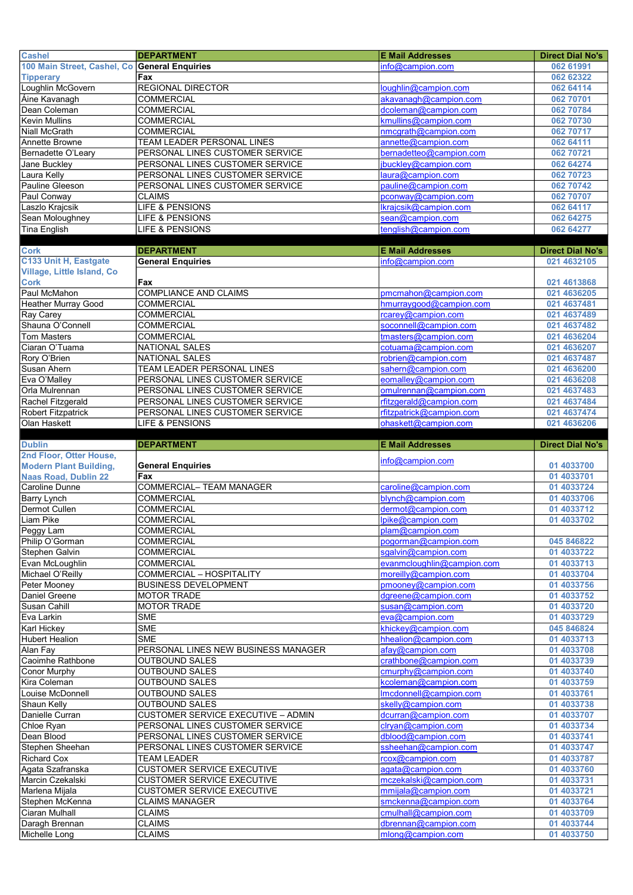| <b>Cashel</b>                                 | <b>DEPARTMENT</b>                                                  | <b>E Mail Addresses</b>                    | <b>Direct Dial No's</b>  |
|-----------------------------------------------|--------------------------------------------------------------------|--------------------------------------------|--------------------------|
| 100 Main Street, Cashel, Co General Enquiries |                                                                    | info@campion.com                           | 062 61991                |
| <b>Tipperary</b>                              | Fax                                                                |                                            | 062 62322                |
| Loughlin McGovern                             | <b>REGIONAL DIRECTOR</b>                                           | loughlin@campion.com                       | 062 64114                |
| Áine Kavanagh                                 | <b>COMMERCIAL</b>                                                  | akavanagh@campion.com                      | 062 70701                |
| Dean Coleman                                  | <b>COMMERCIAL</b>                                                  | dcoleman@campion.com                       | 062 70784                |
| Kevin Mullins                                 | <b>COMMERCIAL</b>                                                  | kmullins@campion.com                       | 062 70730                |
| Niall McGrath                                 | <b>COMMERCIAL</b>                                                  | nmcgrath@campion.com                       | 062 70717                |
| Annette Browne                                | <b>TEAM LEADER PERSONAL LINES</b>                                  | annette@campion.com                        | 062 64111                |
| Bernadette O'Leary                            | PERSONAL LINES CUSTOMER SERVICE                                    | bernadetteo@campion.com                    | 062 70721                |
| Jane Buckley                                  | PERSONAL LINES CUSTOMER SERVICE                                    | jbuckley@campion.com                       | 062 64274                |
| Laura Kelly                                   | PERSONAL LINES CUSTOMER SERVICE                                    | laura@campion.com                          | 062 70723                |
| Pauline Gleeson                               | PERSONAL LINES CUSTOMER SERVICE                                    | pauline@campion.com                        | 062 70742                |
| Paul Conway                                   | <b>CLAIMS</b>                                                      | pconway@campion.com                        | 062 70707                |
| Laszlo Krajcsik                               | <b>LIFE &amp; PENSIONS</b><br>LIFE & PENSIONS                      | Ikrajcsik@campion.com<br>sean@campion.com  | 062 64117                |
| Sean Moloughney<br><b>Tina English</b>        | LIFE & PENSIONS                                                    | tenglish@campion.com                       | 062 64275<br>062 64277   |
|                                               |                                                                    |                                            |                          |
| <b>Cork</b>                                   | <b>DEPARTMENT</b>                                                  | <b>E Mail Addresses</b>                    | <b>Direct Dial No's</b>  |
| C133 Unit H, Eastgate                         | <b>General Enquiries</b>                                           | info@campion.com                           | 021 4632105              |
| Village, Little Island, Co                    |                                                                    |                                            |                          |
| <b>Cork</b>                                   | Fax                                                                |                                            | 021 4613868              |
| Paul McMahon                                  | <b>COMPLIANCE AND CLAIMS</b>                                       | pmcmahon@campion.com                       | 021 4636205              |
| Heather Murray Good                           | <b>COMMERCIAL</b>                                                  | hmurraygood@campion.com                    | 021 4637481              |
| Ray Carey                                     | <b>COMMERCIAL</b>                                                  | rcarey@campion.com                         | 021 4637489              |
| Shauna O'Connell                              | <b>COMMERCIAL</b>                                                  | soconnell@campion.com                      | 021 4637482              |
| <b>Tom Masters</b>                            | <b>COMMERCIAL</b>                                                  | tmasters@campion.com                       | 021 4636204              |
| Ciaran O'Tuama                                | NATIONAL SALES                                                     | cotuama@campion.com                        | 021 4636207              |
| Rory O'Brien                                  | <b>NATIONAL SALES</b>                                              | robrien@campion.com                        | 021 4637487              |
| Susan Ahern                                   | TEAM LEADER PERSONAL LINES                                         | sahern@campion.com                         | 021 4636200              |
| Eva O'Malley                                  | PERSONAL LINES CUSTOMER SERVICE                                    | eomalley@campion.com                       | 021 4636208              |
| Orla Mulrennan                                | PERSONAL LINES CUSTOMER SERVICE                                    | omulrennan@campion.com                     | 021 4637483              |
| Rachel Fitzgerald                             | PERSONAL LINES CUSTOMER SERVICE                                    | rfitzgerald@campion.com                    | 021 4637484              |
| <b>Robert Fitzpatrick</b>                     | PERSONAL LINES CUSTOMER SERVICE                                    | rfitzpatrick@campion.com                   | 021 4637474              |
| Olan Haskett                                  | LIFE & PENSIONS                                                    | ohaskett@campion.com                       | 021 4636206              |
| <b>Dublin</b>                                 | <b>DEPARTMENT</b>                                                  | <b>E Mail Addresses</b>                    | <b>Direct Dial No's</b>  |
|                                               |                                                                    |                                            |                          |
|                                               |                                                                    |                                            |                          |
| 2nd Floor, Otter House,                       |                                                                    | info@campion.com                           |                          |
| <b>Modern Plant Building,</b>                 | <b>General Enquiries</b>                                           |                                            | 01 4033700               |
| Naas Road, Dublin 22                          | Fax                                                                |                                            | 01 4033701<br>01 4033724 |
| Caroline Dunne<br><b>Barry Lynch</b>          | <b>COMMERCIAL- TEAM MANAGER</b><br><b>COMMERCIAL</b>               | caroline@campion.com<br>blynch@campion.com | 01 4033706               |
| Dermot Cullen                                 | <b>COMMERCIAL</b>                                                  | dermot@campion.com                         | 01 4033712               |
| Liam Pike                                     | <b>COMMERCIAL</b>                                                  | lpike@campion.com                          | 01 4033702               |
| Peggy Lam                                     | COMMERCIAL                                                         | plam@campion.com                           |                          |
| Philip O'Gorman                               | <b>COMMERCIAL</b>                                                  | pogorman@campion.com                       | 045 846822               |
| Stephen Galvin                                | COMMERCIAL                                                         | sgalvin@campion.com                        | 01 4033722               |
| Evan McLoughlin                               | <b>COMMERCIAL</b>                                                  | evanmcloughlin@campion.com                 | 01 4033713               |
| Michael O'Reilly                              | COMMERCIAL - HOSPITALITY                                           | moreilly@campion.com                       | 01 4033704               |
| Peter Mooney                                  | <b>BUSINESS DEVELOPMENT</b>                                        | pmooney@campion.com                        | 01 4033756               |
| Daniel Greene                                 | <b>MOTOR TRADE</b>                                                 | dgreene@campion.com                        | 01 4033752               |
| Susan Cahill                                  | <b>MOTOR TRADE</b>                                                 | susan@campion.com                          | 01 4033720               |
| Eva Larkin                                    | <b>SME</b>                                                         | eva@campion.com                            | 01 4033729               |
| Karl Hickey                                   | <b>SME</b>                                                         | khickey@campion.com                        | 045 846824               |
| <b>Hubert Healion</b>                         | <b>SME</b>                                                         | hhealion@campion.com                       | 01 4033713               |
| Alan Fay                                      | PERSONAL LINES NEW BUSINESS MANAGER                                | afay@campion.com                           | 01 4033708               |
| Caoimhe Rathbone                              | OUTBOUND SALES                                                     | crathbone@campion.com                      | 01 4033739               |
| Conor Murphy                                  | <b>OUTBOUND SALES</b>                                              | cmurphy@campion.com                        | 01 4033740               |
| Kira Coleman                                  | <b>OUTBOUND SALES</b>                                              | kcoleman@campion.com                       | 01 4033759               |
| Louise McDonnell                              | <b>OUTBOUND SALES</b>                                              | Imcdonnell@campion.com                     | 01 4033761               |
| Shaun Kelly                                   | <b>OUTBOUND SALES</b>                                              | skelly@campion.com                         | 01 4033738               |
| Danielle Curran                               | <b>CUSTOMER SERVICE EXECUTIVE - ADMIN</b>                          | dcurran@campion.com                        | 01 4033707               |
| Chloe Ryan<br>Dean Blood                      | PERSONAL LINES CUSTOMER SERVICE<br>PERSONAL LINES CUSTOMER SERVICE | clryan@campion.com<br>dblood@campion.com   | 01 4033734<br>01 4033741 |
| Stephen Sheehan                               | PERSONAL LINES CUSTOMER SERVICE                                    | ssheehan@campion.com                       | 01 4033747               |
| Richard Cox                                   | <b>TEAM LEADER</b>                                                 | rcox@campion.com                           | 01 4033787               |
| Agata Szafranska                              | <b>CUSTOMER SERVICE EXECUTIVE</b>                                  | agata@campion.com                          | 01 4033760               |
| Marcin Czekalski                              | <b>CUSTOMER SERVICE EXECUTIVE</b>                                  | mczekalski@campion.com                     | 01 4033731               |
| Marlena Mijala                                | <b>CUSTOMER SERVICE EXECUTIVE</b>                                  | mmijala@campion.com                        | 01 4033721               |
| Stephen McKenna                               | <b>CLAIMS MANAGER</b>                                              | smckenna@campion.com                       | 01 4033764               |
| Ciaran Mulhall                                | <b>CLAIMS</b>                                                      | cmulhall@campion.com                       | 01 4033709               |
| Daragh Brennan<br>Michelle Long               | <b>CLAIMS</b><br><b>CLAIMS</b>                                     | dbrennan@campion.com<br>mlong@campion.com  | 01 4033744<br>01 4033750 |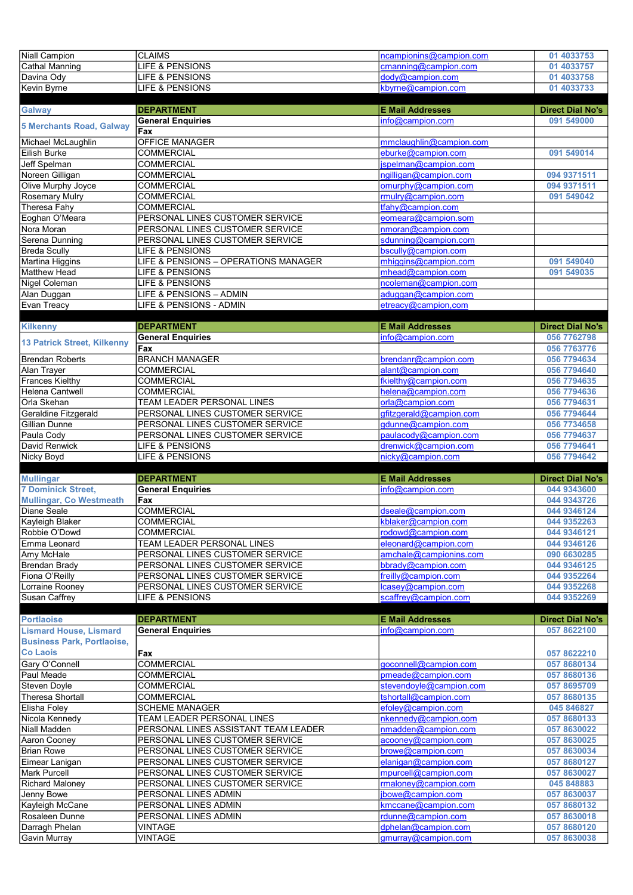| Niall Campion                         | <b>CLAIMS</b>                        | ncampionins@campion.com                     | 01 4033753                 |
|---------------------------------------|--------------------------------------|---------------------------------------------|----------------------------|
| Cathal Manning                        | <b>LIFE &amp; PENSIONS</b>           | cmanning@campion.com                        | 01 4033757                 |
| Davina Ody                            | LIFE & PENSIONS                      | dody@campion.com                            | 01 4033758                 |
| Kevin Byrne                           | LIFE & PENSIONS                      | kbyrne@campion.com                          | 01 4033733                 |
|                                       |                                      |                                             |                            |
| <b>Galway</b>                         | <b>DEPARTMENT</b>                    | <b>E Mail Addresses</b>                     | <b>Direct Dial No's</b>    |
|                                       | <b>General Enquiries</b>             | info@campion.com                            | 091 549000                 |
| <b>5 Merchants Road, Galway</b>       | Fax                                  |                                             |                            |
| Michael McLaughlin                    | <b>OFFICE MANAGER</b>                | mmclaughlin@campion.com                     |                            |
| Eilish Burke                          | <b>COMMERCIAL</b>                    | eburke@campion.com                          | 091 549014                 |
| <b>Jeff Spelman</b>                   | COMMERCIAL                           | jspelman@campion.com                        |                            |
| Noreen Gilligan                       | COMMERCIAL                           | ngilligan@campion.com                       | 094 9371511                |
| Olive Murphy Joyce                    | <b>COMMERCIAL</b>                    | omurphy@campion.com                         |                            |
|                                       | <b>COMMERCIAL</b>                    | rmulry@campion.com                          | 094 9371511<br>091 549042  |
| <b>Rosemary Mulry</b>                 | <b>COMMERCIAL</b>                    |                                             |                            |
| Theresa Fahy<br>Eoghan O'Meara        | PERSONAL LINES CUSTOMER SERVICE      | tfahy@campion.com<br>eomeara@campion.som    |                            |
|                                       |                                      |                                             |                            |
| Nora Moran                            | PERSONAL LINES CUSTOMER SERVICE      | nmoran@campion.com                          |                            |
| Serena Dunning                        | PERSONAL LINES CUSTOMER SERVICE      | sdunning@campion.com                        |                            |
| <b>Breda Scully</b>                   | LIFE & PENSIONS                      | bscully@campion.com                         |                            |
| Martina Higgins                       | LIFE & PENSIONS - OPERATIONS MANAGER | mhiggins@campion.com                        | 091 549040                 |
| Matthew Head                          | LIFE & PENSIONS                      | mhead@campion.com                           | 091 549035                 |
| <b>Nigel Coleman</b>                  | LIFE & PENSIONS                      | ncoleman@campion.com                        |                            |
| Alan Duggan                           | LIFE & PENSIONS - ADMIN              | aduggan@campion.com                         |                            |
| Evan Treacy                           | LIFE & PENSIONS - ADMIN              | etreacy@campion,com                         |                            |
|                                       |                                      |                                             |                            |
| <b>Kilkenny</b>                       | <b>DEPARTMENT</b>                    | <b>E Mail Addresses</b>                     | <b>Direct Dial No's</b>    |
| 13 Patrick Street, Kilkenny           | <b>General Enquiries</b>             | info@campion.com                            | 056 7762798                |
|                                       | Fax                                  |                                             | 056 7763776                |
| <b>Brendan Roberts</b>                | <b>BRANCH MANAGER</b>                | brendanr@campion.com                        | 056 7794634                |
| Alan Trayer                           | <b>COMMERCIAL</b>                    | alant@campion.com                           | 056 7794640                |
| <b>Frances Kielthy</b>                | <b>COMMERCIAL</b>                    | fkielthy@campion.com                        | 056 7794635                |
| Helena Cantwell                       | COMMERCIAL                           | helena@campion.com                          | 056 7794636                |
| Orla Skehan                           | TEAM LEADER PERSONAL LINES           | orla@campion.com                            | 056 7794631                |
| Geraldine Fitzgerald                  | PERSONAL LINES CUSTOMER SERVICE      | dfitzderald@campion.com                     | 056 7794644                |
| Gillian Dunne                         | PERSONAL LINES CUSTOMER SERVICE      | gdunne@campion.com                          | 056 7734658                |
| Paula Cody                            | PERSONAL LINES CUSTOMER SERVICE      | paulacody@campion.com                       | 056 7794637                |
|                                       |                                      |                                             |                            |
| David Renwick                         | LIFE & PENSIONS                      | drenwick@campion.com                        | 056 7794641                |
| Nicky Boyd                            | LIFE & PENSIONS                      | nicky@campion.com                           | 056 7794642                |
|                                       |                                      |                                             |                            |
| <b>Mullingar</b>                      | <b>DEPARTMENT</b>                    | <b>E Mail Addresses</b>                     | <b>Direct Dial No's</b>    |
| <b>7 Dominick Street,</b>             | <b>General Enquiries</b>             | info@campion.com                            | 044 9343600                |
| <b>Mullingar, Co Westmeath</b>        | Fax                                  |                                             | 044 9343726                |
| Diane Seale                           | <b>COMMERCIAL</b>                    | dseale@campion.com                          | 044 9346124                |
| Kayleigh Blaker                       | <b>COMMERCIAL</b>                    | kblaker@campion.com                         | 044 9352263                |
| Robbie O'Dowd                         | <b>COMMERCIAL</b>                    | rodowd@campion.com                          | 044 9346121                |
| Emma Leonard                          | TEAM LEADER PERSONAL LINES           | eleonard@campion.com                        | 044 9346126                |
| Amy McHale                            | PERSONAL LINES CUSTOMER SERVICE      | amchale@campionins.com                      | 090 6630285                |
| <b>Brendan Brady</b>                  | PERSONAL LINES CUSTOMER SERVICE      | bbrady@campion.com                          | 044 9346125                |
| Fiona O'Reilly                        | PERSONAL LINES CUSTOMER SERVICE      | freilly@campion.com                         | 044 9352264                |
| Lorraine Rooney                       | PERSONAL LINES CUSTOMER SERVICE      | lcasey@campion.com                          | 044 9352268                |
| Susan Caffrey                         | LIFE & PENSIONS                      | scaffrey@campion.com                        | 044 9352269                |
|                                       |                                      |                                             |                            |
| <b>Portlaoise</b>                     | <b>DEPARTMENT</b>                    | <b>E Mail Addresses</b>                     | <b>Direct Dial No's</b>    |
| <b>Lismard House, Lismard</b>         | <b>General Enquiries</b>             | info@campion.com                            | 057 8622100                |
| <b>Business Park, Portlaoise,</b>     |                                      |                                             |                            |
| <b>Co Laois</b>                       | Fax                                  |                                             | 057 8622210                |
| Gary O'Connell                        | <b>COMMERCIAL</b>                    | goconnell@campion.com                       | 057 8680134                |
| Paul Meade                            | <b>COMMERCIAL</b>                    | pmeade@campion.com                          | 057 8680136                |
| Steven Doyle                          | <b>COMMERCIAL</b>                    | stevendoyle@campion.com                     | 057 8695709                |
| <b>Theresa Shortall</b>               | <b>COMMERCIAL</b>                    |                                             |                            |
|                                       | <b>SCHEME MANAGER</b>                | tshortall@campion.com<br>efoley@campion.com | 057 8680135<br>045 846827  |
| Elisha Foley                          |                                      |                                             |                            |
| Nicola Kennedy<br>Niall Madden        | TEAM LEADER PERSONAL LINES           | nkennedy@campion.com                        | 057 8680133                |
|                                       | PERSONAL LINES ASSISTANT TEAM LEADER | nmadden@campion.com                         | 057 8630022                |
| Aaron Cooney                          | PERSONAL LINES CUSTOMER SERVICE      | acooney@campion.com                         | 057 8630025                |
| <b>Brian Rowe</b>                     | PERSONAL LINES CUSTOMER SERVICE      | browe@campion.com                           | 057 8630034                |
| Eimear Lanigan                        | PERSONAL LINES CUSTOMER SERVICE      | elanigan@campion.com                        | 057 8680127                |
| Mark Purcell                          | PERSONAL LINES CUSTOMER SERVICE      | mpurcell@campion.com                        | 057 8630027                |
| <b>Richard Maloney</b>                | PERSONAL LINES CUSTOMER SERVICE      | rmaloney@campion.com                        | 045 848883                 |
| Jenny Bowe                            | PERSONAL LINES ADMIN                 | jbowe@campion.com                           | 057 8630037                |
| Kayleigh McCane                       | PERSONAL LINES ADMIN                 | kmccane@campion.com                         | 057 8680132                |
| Rosaleen Dunne                        | PERSONAL LINES ADMIN                 | rdunne@campion.com                          | 057 8630018                |
| Darragh Phelan<br><b>Gavin Murray</b> | <b>VINTAGE</b><br><b>VINTAGE</b>     | dphelan@campion.com<br>gmurray@campion.com  | 057 8680120<br>057 8630038 |